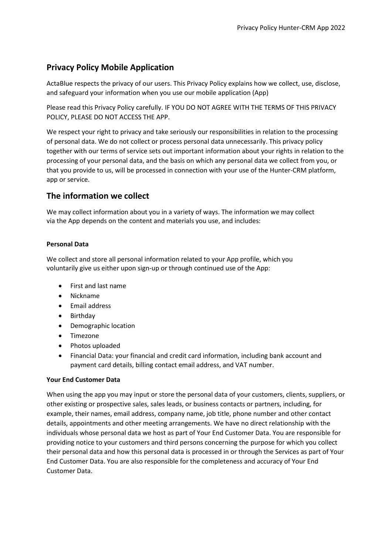# **Privacy Policy Mobile Application**

ActaBlue respects the privacy of our users. This Privacy Policy explains how we collect, use, disclose, and safeguard your information when you use our mobile application (App)

Please read this Privacy Policy carefully. IF YOU DO NOT AGREE WITH THE TERMS OF THIS PRIVACY POLICY, PLEASE DO NOT ACCESS THE APP.

We respect your right to privacy and take seriously our responsibilities in relation to the processing of personal data. We do not collect or process personal data unnecessarily. This privacy policy together with our terms of service sets out important information about your rights in relation to the processing of your personal data, and the basis on which any personal data we collect from you, or that you provide to us, will be processed in connection with your use of the Hunter-CRM platform, app or service.

# **The information we collect**

We may collect information about you in a variety of ways. The information we may collect via the App depends on the content and materials you use, and includes:

## **Personal Data**

We collect and store all personal information related to your App profile, which you voluntarily give us either upon sign-up or through continued use of the App:

- First and last name
- Nickname
- **•** Email address
- Birthday
- Demographic location
- Timezone
- Photos uploaded
- Financial Data: your financial and credit card information, including bank account and payment card details, billing contact email address, and VAT number.

## **Your End Customer Data**

When using the app you may input or store the personal data of your customers, clients, suppliers, or other existing or prospective sales, sales leads, or business contacts or partners, including, for example, their names, email address, company name, job title, phone number and other contact details, appointments and other meeting arrangements. We have no direct relationship with the individuals whose personal data we host as part of Your End Customer Data. You are responsible for providing notice to your customers and third persons concerning the purpose for which you collect their personal data and how this personal data is processed in or through the Services as part of Your End Customer Data. You are also responsible for the completeness and accuracy of Your End Customer Data.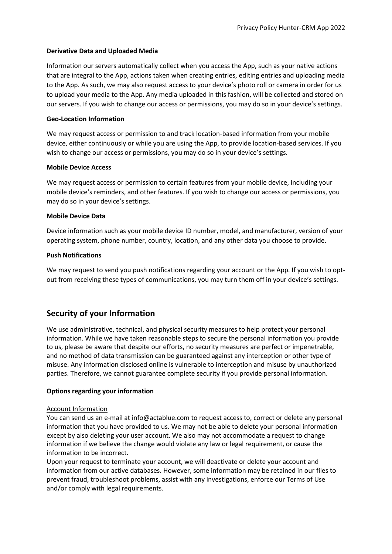#### **Derivative Data and Uploaded Media**

Information our servers automatically collect when you access the App, such as your native actions that are integral to the App, actions taken when creating entries, editing entries and uploading media to the App. As such, we may also request access to your device's photo roll or camera in order for us to upload your media to the App. Any media uploaded in this fashion, will be collected and stored on our servers. If you wish to change our access or permissions, you may do so in your device's settings.

#### **Geo-Location Information**

We may request access or permission to and track location-based information from your mobile device, either continuously or while you are using the App, to provide location-based services. If you wish to change our access or permissions, you may do so in your device's settings.

#### **Mobile Device Access**

We may request access or permission to certain features from your mobile device, including your mobile device's reminders, and other features. If you wish to change our access or permissions, you may do so in your device's settings.

#### **Mobile Device Data**

Device information such as your mobile device ID number, model, and manufacturer, version of your operating system, phone number, country, location, and any other data you choose to provide.

#### **Push Notifications**

We may request to send you push notifications regarding your account or the App. If you wish to optout from receiving these types of communications, you may turn them off in your device's settings.

# **Security of your Information**

We use administrative, technical, and physical security measures to help protect your personal information. While we have taken reasonable steps to secure the personal information you provide to us, please be aware that despite our efforts, no security measures are perfect or impenetrable, and no method of data transmission can be guaranteed against any interception or other type of misuse. Any information disclosed online is vulnerable to interception and misuse by unauthorized parties. Therefore, we cannot guarantee complete security if you provide personal information.

#### **Options regarding your information**

#### Account Information

You can send us an e-mail at info@actablue.com to request access to, correct or delete any personal information that you have provided to us. We may not be able to delete your personal information except by also deleting your user account. We also may not accommodate a request to change information if we believe the change would violate any law or legal requirement, or cause the information to be incorrect.

Upon your request to terminate your account, we will deactivate or delete your account and information from our active databases. However, some information may be retained in our files to prevent fraud, troubleshoot problems, assist with any investigations, enforce our Terms of Use and/or comply with legal requirements.